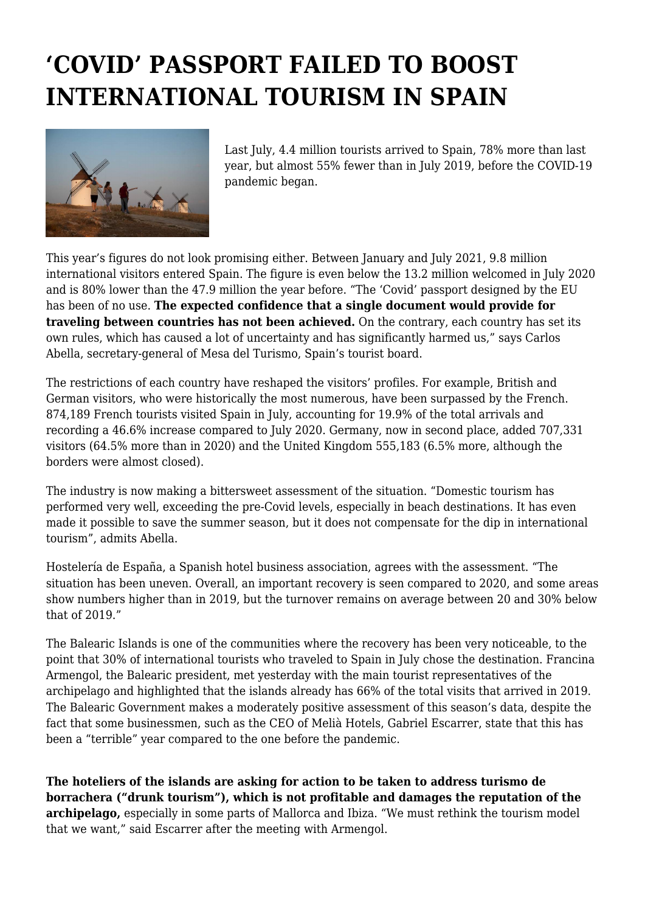## **'COVID' PASSPORT FAILED TO BOOST INTERNATIONAL TOURISM IN SPAIN**



Last July, 4.4 million tourists arrived to Spain, 78% more than last year, but almost 55% fewer than in July 2019, before the COVID-19 pandemic began.

This year's figures do not look promising either. Between January and July 2021, 9.8 million international visitors entered Spain. The figure is even below the 13.2 million welcomed in July 2020 and is 80% lower than the 47.9 million the year before. "The 'Covid' passport designed by the EU has been of no use. **The expected confidence that a single document would provide for traveling between countries has not been achieved.** On the contrary, each country has set its own rules, which has caused a lot of uncertainty and has significantly harmed us," says Carlos Abella, secretary-general of Mesa del Turismo, Spain's tourist board.

The restrictions of each country have reshaped the visitors' profiles. For example, British and German visitors, who were historically the most numerous, have been surpassed by the French. 874,189 French tourists visited Spain in July, accounting for 19.9% of the total arrivals and recording a 46.6% increase compared to July 2020. Germany, now in second place, added 707,331 visitors (64.5% more than in 2020) and the United Kingdom 555,183 (6.5% more, although the borders were almost closed).

The industry is now making a bittersweet assessment of the situation. "Domestic tourism has performed very well, exceeding the pre-Covid levels, especially in beach destinations. It has even made it possible to save the summer season, but it does not compensate for the dip in international tourism", admits Abella.

Hostelería de España, a Spanish hotel business association, agrees with the assessment. "The situation has been uneven. Overall, an important recovery is seen compared to 2020, and some areas show numbers higher than in 2019, but the turnover remains on average between 20 and 30% below that of 2019."

The Balearic Islands is one of the communities where the recovery has been very noticeable, to the point that 30% of international tourists who traveled to Spain in July chose the destination. Francina Armengol, the Balearic president, met yesterday with the main tourist representatives of the archipelago and highlighted that the islands already has 66% of the total visits that arrived in 2019. The Balearic Government makes a moderately positive assessment of this season's data, despite the fact that some businessmen, such as the CEO of Melià Hotels, Gabriel Escarrer, state that this has been a "terrible" year compared to the one before the pandemic.

**The hoteliers of the islands are asking for action to be taken to address turismo de borrachera ("drunk tourism"), which is not profitable and damages the reputation of the archipelago,** especially in some parts of Mallorca and Ibiza. "We must rethink the tourism model that we want," said Escarrer after the meeting with Armengol.